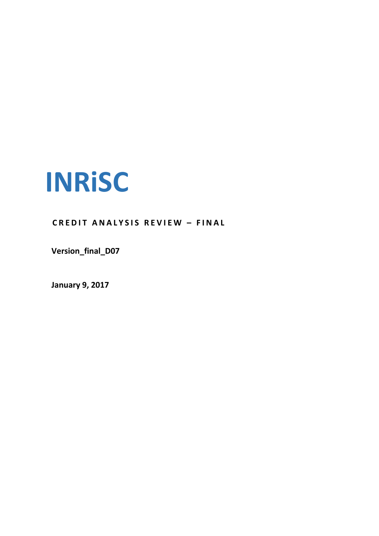

**C R E D I T A N A L Y S I S R E V I E W – F I N A L**

**Version\_final\_D07**

**January 9, 2017**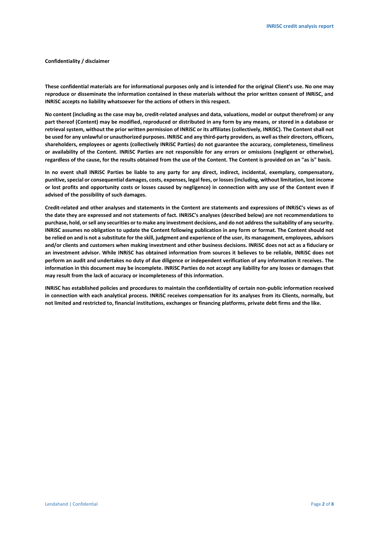#### **Confidentiality / disclaimer**

**These confidential materials are for informational purposes only and is intended for the original Client's use. No one may reproduce or disseminate the information contained in these materials without the prior written consent of INRiSC, and INRiSC accepts no liability whatsoever for the actions of others in this respect.**

**No content (including as the case may be, credit-related analyses and data, valuations, model or output therefrom) or any part thereof (Content) may be modified, reproduced or distributed in any form by any means, or stored in a database or retrieval system, without the prior written permission of INRiSC or its affiliates (collectively, INRiSC). The Content shall not be used for any unlawful or unauthorized purposes. INRiSC and any third-party providers, as well as their directors, officers, shareholders, employees or agents (collectively INRiSC Parties) do not guarantee the accuracy, completeness, timeliness or availability of the Content. INRiSC Parties are not responsible for any errors or omissions (negligent or otherwise), regardless of the cause, for the results obtained from the use of the Content. The Content is provided on an "as is" basis.** 

**In no event shall INRiSC Parties be liable to any party for any direct, indirect, incidental, exemplary, compensatory, punitive, special or consequential damages, costs, expenses, legal fees, or losses (including, without limitation, lost income or lost profits and opportunity costs or losses caused by negligence) in connection with any use of the Content even if advised of the possibility of such damages.**

**Credit-related and other analyses and statements in the Content are statements and expressions of INRiSC's views as of the date they are expressed and not statements of fact. INRiSC's analyses (described below) are not recommendations to purchase, hold, or sell any securities or to make any investment decisions, and do not address the suitability of any security. INRiSC assumes no obligation to update the Content following publication in any form or format. The Content should not be relied on and is not a substitute for the skill, judgment and experience of the user, its management, employees, advisors and/or clients and customers when making investment and other business decisions. INRiSC does not act as a fiduciary or an investment advisor. While INRiSC has obtained information from sources it believes to be reliable, INRiSC does not perform an audit and undertakes no duty of due diligence or independent verification of any information it receives. The information in this document may be incomplete. INRiSC Parties do not accept any liability for any losses or damages that may result from the lack of accuracy or incompleteness of this information.**

**INRiSC has established policies and procedures to maintain the confidentiality of certain non-public information received in connection with each analytical process. INRiSC receives compensation for its analyses from its Clients, normally, but not limited and restricted to, financial institutions, exchanges or financing platforms, private debt firms and the like.**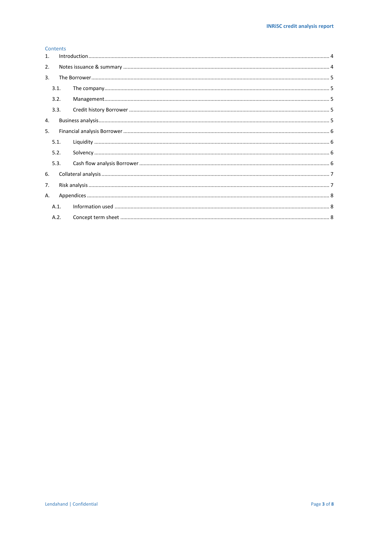# Contents

| 1. |      |  |  |  |  |
|----|------|--|--|--|--|
| 2. |      |  |  |  |  |
| 3. |      |  |  |  |  |
|    | 3.1. |  |  |  |  |
|    | 3.2. |  |  |  |  |
|    | 3.3. |  |  |  |  |
| 4. |      |  |  |  |  |
| 5. |      |  |  |  |  |
|    | 5.1. |  |  |  |  |
|    | 5.2. |  |  |  |  |
|    | 5.3. |  |  |  |  |
| 6. |      |  |  |  |  |
| 7. |      |  |  |  |  |
|    | А.   |  |  |  |  |
|    | A.1. |  |  |  |  |
|    | A.2. |  |  |  |  |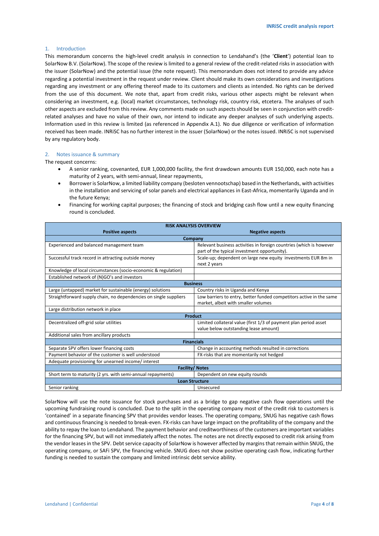## <span id="page-3-0"></span>1. Introduction

This memorandum concerns the high-level credit analysis in connection to Lendahand's (the '**Client**') potential loan to SolarNow B.V. (SolarNow). The scope of the review is limited to a general review of the credit-related risks in association with the issuer (SolarNow) and the potential issue (the note request). This memorandum does not intend to provide any advice regarding a potential investment in the request under review. Client should make its own considerations and investigations regarding any investment or any offering thereof made to its customers and clients as intended. No rights can be derived from the use of this document. We note that, apart from credit risks, various other aspects might be relevant when considering an investment, e.g. (local) market circumstances, technology risk, country risk, etcetera. The analyses of such other aspects are excluded from this review. Any comments made on such aspects should be seen in conjunction with creditrelated analyses and have no value of their own, nor intend to indicate any deeper analyses of such underlying aspects. Information used in this review is limited (as referenced in Appendix A.1). No due diligence or verification of information received has been made. INRiSC has no further interest in the issuer (SolarNow) or the notes issued. INRiSC is not supervised by any regulatory body.

### <span id="page-3-1"></span>2. Notes issuance & summary

The request concerns:

- A senior ranking, covenanted, EUR 1,000,000 facility, the first drawdown amounts EUR 150,000, each note has a maturity of 2 years, with semi-annual, linear repayments,
- Borrower is SolarNow, a limited liability company (besloten vennootschap) based in the Netherlands, with activities in the installation and servicing of solar panels and electrical appliances in East-Africa, momentarily Uganda and in the future Kenya;
- Financing for working capital purposes; the financing of stock and bridging cash flow until a new equity financing round is concluded.

| <b>RISK ANALYSIS OVERVIEW</b>                                     |                                                                     |  |  |  |  |  |
|-------------------------------------------------------------------|---------------------------------------------------------------------|--|--|--|--|--|
| <b>Positive aspects</b>                                           | <b>Negative aspects</b>                                             |  |  |  |  |  |
|                                                                   | Company                                                             |  |  |  |  |  |
| Experienced and balanced management team                          | Relevant business activities in foreign countries (which is however |  |  |  |  |  |
|                                                                   | part of the typical investment opportunity).                        |  |  |  |  |  |
| Successful track record in attracting outside money               | Scale-up; dependent on large new equity investments EUR 8m in       |  |  |  |  |  |
|                                                                   | next 2 years                                                        |  |  |  |  |  |
| Knowledge of local circumstances (socio-economic & regulation)    |                                                                     |  |  |  |  |  |
| Established network of (N)GO's and investors                      |                                                                     |  |  |  |  |  |
| <b>Business</b>                                                   |                                                                     |  |  |  |  |  |
| Large (untapped) market for sustainable (energy) solutions        | Country risks in Uganda and Kenya                                   |  |  |  |  |  |
| Straightforward supply chain, no dependencies on single suppliers | Low barriers to entry, better funded competitors active in the same |  |  |  |  |  |
|                                                                   | market, albeit with smaller volumes                                 |  |  |  |  |  |
| Large distribution network in place                               |                                                                     |  |  |  |  |  |
| <b>Product</b>                                                    |                                                                     |  |  |  |  |  |
| Decentralized off-grid solar utilities                            | Limited collateral value (first 1/3 of payment plan period asset    |  |  |  |  |  |
|                                                                   | value below outstanding lease amount)                               |  |  |  |  |  |
| Additional sales from ancillary products                          |                                                                     |  |  |  |  |  |
| <b>Financials</b>                                                 |                                                                     |  |  |  |  |  |
| Separate SPV offers lower financing costs                         | Change in accounting methods resulted in corrections                |  |  |  |  |  |
| Payment behavior of the customer is well understood               | FX-risks that are momentarily not hedged                            |  |  |  |  |  |
| Adequate provisioning for unearned income/interest                |                                                                     |  |  |  |  |  |
| <b>Facility/Notes</b>                                             |                                                                     |  |  |  |  |  |
| Short term to maturity (2 yrs. with semi-annual repayments)       | Dependent on new equity rounds                                      |  |  |  |  |  |
| <b>Loan Structure</b>                                             |                                                                     |  |  |  |  |  |
| Senior ranking                                                    | Unsecured                                                           |  |  |  |  |  |

SolarNow will use the note issuance for stock purchases and as a bridge to gap negative cash flow operations until the upcoming fundraising round is concluded. Due to the split in the operating company most of the credit risk to customers is 'contained' in a separate financing SPV that provides vendor leases. The operating company, SNUG has negative cash flows and continuous financing is needed to break-even. FX-risks can have large impact on the profitability of the company and the ability to repay the loan to Lendahand. The payment behavior and creditworthiness of the customers are important variables for the financing SPV, but will not immediately affect the notes. The notes are not directly exposed to credit risk arising from the vendor leases in the SPV. Debt service capacity of SolarNow is however affected by margins that remain within SNUG, the operating company, or SAFi SPV, the financing vehicle. SNUG does not show positive operating cash flow, indicating further funding is needed to sustain the company and limited intrinsic debt service ability.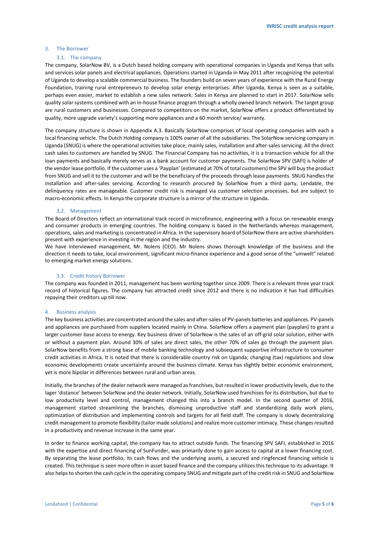#### <span id="page-4-1"></span><span id="page-4-0"></span>3. The Borrower

#### 3.1. The company

The company, SolarNow BV, is a Dutch based holding company with operational companies in Uganda and Kenya that sells and services solar panels and electrical appliances. Operations started in Uganda in May 2011 after recognizing the potential of Uganda to develop a scalable commercial business. The founders build on seven years of experience with the Rural Energy Foundation, training rural entrepreneurs to develop solar energy enterprises. After Uganda, Kenya is seen as a suitable, perhaps even easier, market to establish a new sales network. Sales in Kenya are planned to start in 2017. SolarNow sells quality solar systems combined with an in-house finance program through a wholly owned branch network. The target group are rural customers and businesses. Compared to competitors on the market, SolarNow offers a product differentiated by quality, more upgrade variety's supporting more appliances and a 60 month service/ warranty.

The company structure is shown in Appendix A.3. Basically SolarNow comprises of local operating companies with each a local financing vehicle. The Dutch Holding company is 100% owner of all the subsidiaries. The SolarNow servicing company in Uganda (SNUG) is where the operational activities take place; mainly sales, installation and after-sales servicing. All the direct cash sales to customers are handled by SNUG. The Financial Company has no activities, it is a transaction vehicle for all the loan payments and basically merely serves as a bank account for customer payments. The SolarNow SPV (SAFI) is holder of the vendor lease portfolio. If the customer uses a 'Payplan' (estimated at 70% of total customers) the SPV will buy the product from SNUG and sell it to the customer and will be the beneficiary of the proceeds through lease payments. SNUG handles the installation and after-sales servicing. According to research procured by SolarNow from a third party, Lendable, the delinquency rates are manageable. Customer credit risk is managed via customer selection processes, but are subject to macro-economic effects. In Kenya the corporate structure is a mirror of the structure in Uganda.

#### 3.2. Management

<span id="page-4-2"></span>The Board of Directors reflect an international track record in microfinance, engineering with a focus on renewable energy and consumer products in emerging countries. The holding company is based in the Netherlands whereas management, operations, sales and marketing is concentrated in Africa. In the supervisory board of SolarNow there are active shareholders present with experience in investing in the region and the industry.

We have interviewed management, Mr. Nolens (CEO). Mr Nolens shows thorough knowledge of the business and the direction it needs to take, local environment, significant micro-finance experience and a good sense of the "umwelt" related to emerging market energy solutions.

# 3.3. Credit history Borrower

<span id="page-4-3"></span>The company was founded in 2011, management has been working together since 2009. There is a relevant three year track record of historical figures. The company has attracted credit since 2012 and there is no indication it has had difficulties repaying their creditors up till now.

#### <span id="page-4-4"></span>4. Business analysis

The key business activities are concentrated around the sales and after-sales of PV-panels batteries and appliances. PV-panels and appliances are purchased from suppliers located mainly in China. SolarNow offers a payment plan (payplan) to grant a larger customer base access to energy. Key business driver of SolarNow is the sales of an off-grid solar solution, either with or without a payment plan. Around 30% of sales are direct sales, the other 70% of sales go through the payment plan. SolarNow benefits from a strong base of mobile banking technology and subsequent supportive infrastructure to consumer credit activities in Africa. It is noted that there is considerable country risk on Uganda; changing (tax) regulations and slow economic developments create uncertainty around the business climate. Kenya has slightly better economic environment, yet is more bipolar in differences between rural and urban areas.

Initially, the branches of the dealer network were managed as franchises, but resulted in lower productivity levels, due to the lager 'distance' between SolarNow and the dealer network. Initially, SolarNow used franchises for its distribution, but due to low productivity level and control, management changed this into a branch model. In the second quarter of 2016, management started streamlining the branches, dismissing unproductive staff and standardizing daily work plans, optimization of distribution and implementing controls and targets for all field staff. The company is slowly decentralizing credit management to promote flexibility (tailor made solutions) and realize more customer intimacy. These changes resulted in a productivity and revenue increase in the same year.

In order to finance working capital, the company has to attract outside funds. The financing SPV SAFI, established in 2016 with the expertise and direct financing of SunFunder, was primarily done to gain access to capital at a lower financing cost. By separating the lease portfolio, its cash flows and the underlying assets, a secured and ringfenced financing vehicle is created. This technique is seen more often in asset based finance and the company utilizes this technique to its advantage. It also helps to shorten the cash cycle in the operating company SNUG and mitigate part of the credit risk in SNUG and SolarNow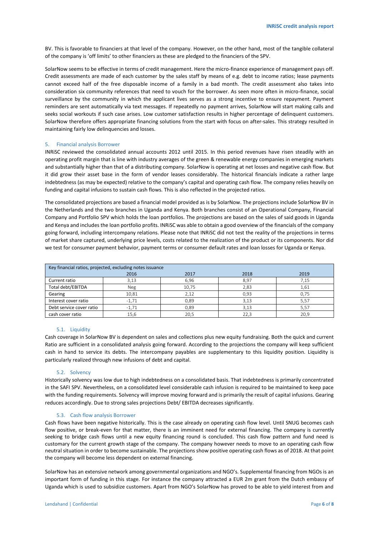BV. This is favorable to financiers at that level of the company. However, on the other hand, most of the tangible collateral of the company is 'off limits' to other financiers as these are pledged to the financiers of the SPV.

SolarNow seems to be effective in terms of credit management. Here the micro-finance experience of management pays off. Credit assessments are made of each customer by the sales staff by means of e.g. debt to income ratios; lease payments cannot exceed half of the free disposable income of a family in a bad month. The credit assessment also takes into consideration six community references that need to vouch for the borrower. As seen more often in micro-finance, social surveillance by the community in which the applicant lives serves as a strong incentive to ensure repayment. Payment reminders are sent automatically via text messages. If repeatedly no payment arrives, SolarNow will start making calls and seeks social workouts if such case arises. Low customer satisfaction results in higher percentage of delinquent customers. SolarNow therefore offers appropriate financing solutions from the start with focus on after-sales. This strategy resulted in maintaining fairly low delinquencies and losses.

#### <span id="page-5-0"></span>5. Financial analysis Borrower

INRiSC reviewed the consolidated annual accounts 2012 until 2015. In this period revenues have risen steadily with an operating profit margin that is line with industry averages of the green & renewable energy companies in emerging markets and substantially higher than that of a distributing company. SolarNow is operating at net losses and negative cash flow. But it did grow their asset base in the form of vendor leases considerably. The historical financials indicate a rather large indebtedness (as may be expected) relative to the company's capital and operating cash flow. The company relies heavily on funding and capital infusions to sustain cash flows. This is also reflected in the projected ratios.

The consolidated projections are based a financial model provided as is by SolarNow. The projections include SolarNow BV in the Netherlands and the two branches in Uganda and Kenya. Both branches consist of an Operational Company, Financial Company and Portfolio SPV which holds the loan portfolios. The projections are based on the sales of said goods in Uganda and Kenya and includes the loan portfolio profits. INRiSC was able to obtain a good overview of the financials of the company going forward, including intercompany relations. Please note that INRiSC did not test the reality of the projections in terms of market share captured, underlying price levels, costs related to the realization of the product or its components. Nor did we test for consumer payment behavior, payment terms or consumer default rates and loan losses for Uganda or Kenya.

| Key financial ratios, projected, excluding notes issuance |            |       |      |      |  |  |
|-----------------------------------------------------------|------------|-------|------|------|--|--|
|                                                           | 2016       | 2017  | 2018 | 2019 |  |  |
| Current ratio                                             | 3,13       | 6,96  | 8,97 | 7,15 |  |  |
| Total debt/EBITDA                                         | <b>Neg</b> | 10,75 | 2,83 | 1.61 |  |  |
| Gearing                                                   | 10.81      | 2.12  | 0.93 | 0.75 |  |  |
| Interest cover ratio                                      | $-1.71$    | 0.89  | 3,13 | 5.57 |  |  |
| Debt service cover ratio                                  | $-1,71$    | 0,89  | 3,13 | 5,57 |  |  |
| cash cover ratio                                          | 15,6       | 20,5  | 22,3 | 20,9 |  |  |

### 5.1. Liquidity

<span id="page-5-1"></span>Cash coverage in SolarNow BV is dependent on sales and collections plus new equity fundraising. Both the quick and current Ratio are sufficient in a consolidated analysis going forward. According to the projections the company will keep sufficient cash in hand to service its debts. The intercompany payables are supplementary to this liquidity position. Liquidity is particularly realized through new infusions of debt and capital.

## 5.2. Solvency

<span id="page-5-2"></span>Historically solvency was low due to high indebtedness on a consolidated basis. That indebtedness is primarily concentrated in the SAFI SPV. Nevertheless, on a consolidated level considerable cash infusion is required to be maintained to keep pace with the funding requirements. Solvency will improve moving forward and is primarily the result of capital infusions. Gearing reduces accordingly. Due to strong sales projections Debt/ EBITDA decreases significantly.

#### 5.3. Cash flow analysis Borrower

<span id="page-5-3"></span>Cash flows have been negative historically. This is the case already on operating cash flow level. Until SNUG becomes cash flow positive, or break-even for that matter, there is an imminent need for external financing. The company is currently seeking to bridge cash flows until a new equity financing round is concluded. This cash flow pattern and fund need is customary for the current growth stage of the company. The company however needs to move to an operating cash flow neutral situation in order to become sustainable. The projections show positive operating cash flows as of 2018. At that point the company will become less dependent on external financing.

SolarNow has an extensive network among governmental organizations and NGO's. Supplemental financing from NGOs is an important form of funding in this stage. For instance the company attracted a EUR 2m grant from the Dutch embassy of Uganda which is used to subsidize customers. Apart from NGO's SolarNow has proved to be able to yield interest from and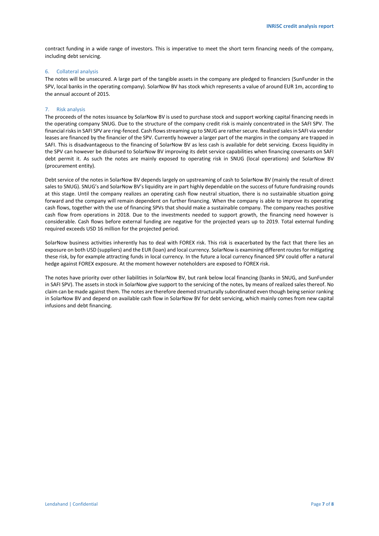contract funding in a wide range of investors. This is imperative to meet the short term financing needs of the company, including debt servicing.

### <span id="page-6-0"></span>6. Collateral analysis

The notes will be unsecured. A large part of the tangible assets in the company are pledged to financiers (SunFunder in the SPV, local banks in the operating company). SolarNow BV has stock which represents a value of around EUR 1m, according to the annual account of 2015.

# <span id="page-6-1"></span>7. Risk analysis

The proceeds of the notes issuance by SolarNow BV is used to purchase stock and support working capital financing needs in the operating company SNUG. Due to the structure of the company credit risk is mainly concentrated in the SAFI SPV. The financial risks in SAFI SPV are ring-fenced. Cash flows streaming up to SNUG are rather secure. Realized sales in SAFI via vendor leases are financed by the financier of the SPV. Currently however a larger part of the margins in the company are trapped in SAFI. This is disadvantageous to the financing of SolarNow BV as less cash is available for debt servicing. Excess liquidity in the SPV can however be disbursed to SolarNow BV improving its debt service capabilities when financing covenants on SAFI debt permit it. As such the notes are mainly exposed to operating risk in SNUG (local operations) and SolarNow BV (procurement entity).

Debt service of the notes in SolarNow BV depends largely on upstreaming of cash to SolarNow BV (mainly the result of direct sales to SNUG). SNUG's and SolarNow BV's liquidity are in part highly dependable on the success of future fundraising rounds at this stage. Until the company realizes an operating cash flow neutral situation, there is no sustainable situation going forward and the company will remain dependent on further financing. When the company is able to improve its operating cash flows, together with the use of financing SPVs that should make a sustainable company. The company reaches positive cash flow from operations in 2018. Due to the investments needed to support growth, the financing need however is considerable. Cash flows before external funding are negative for the projected years up to 2019. Total external funding required exceeds USD 16 million for the projected period.

SolarNow business activities inherently has to deal with FOREX risk. This risk is exacerbated by the fact that there lies an exposure on both USD (suppliers) and the EUR (loan) and local currency. SolarNow is examining different routes for mitigating these risk, by for example attracting funds in local currency. In the future a local currency financed SPV could offer a natural hedge against FOREX exposure. At the moment however noteholders are exposed to FOREX risk.

<span id="page-6-2"></span>The notes have priority over other liabilities in SolarNow BV, but rank below local financing (banks in SNUG, and SunFunder in SAFI SPV). The assets in stock in SolarNow give support to the servicing of the notes, by means of realized sales thereof. No claim can be made against them. The notes are therefore deemed structurally subordinated even though being senior ranking in SolarNow BV and depend on available cash flow in SolarNow BV for debt servicing, which mainly comes from new capital infusions and debt financing.